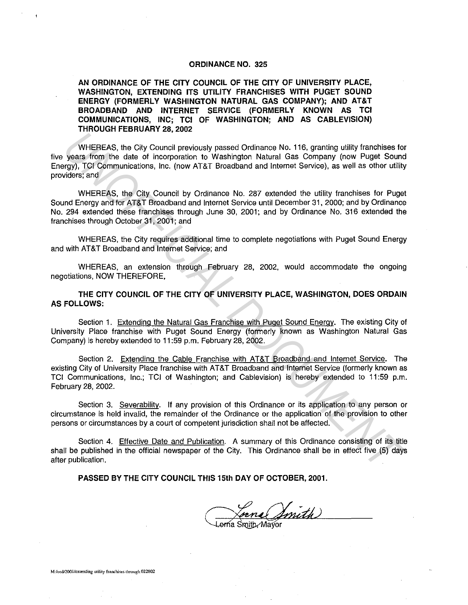## ORDINANCE NO. 325

AN ORDINANCE OF THE CITY COUNCIL OF THE CITY OF UNIVERSITY PLACE, WASHINGTON, EXTENDING ITS UTILITY FRANCHISES WITH PUGET SOUND ENERGY (FORMERLY WASHINGTON NATURAL GAS COMPANY); AND AT&T BROADBAND AND INTERNET SERVICE (FORMERLY KNOWN AS TCI COMMUNICATIONS, INC; TCI OF WASHINGTON; AND AS CABLEVISION) THROUGH FEBRUARY 28, 2002

WHEREAS, the City Council previously passed Ordinance No. 116, granting utility franchises for five years from the date of incorporation to Washington Natural Gas Company (now Puget Sound Energy), TCI Communications, Inc. (now AT&T Broadband and Internet Service), as well as other utility providers; and WHEREAS. the City Council proviously passed Ordinance No. 116, granting utility franchises fo<br>years from the date of incorporation to Washington Natural Gas Company (now Puget Source),<br>1970), TO Communications, Inc. (now A

WHEREAS, the City Council by Ordinance No. 287 extended the utility franchises for Puget Sound Energy and for AT&T Broadband and Internet Service until December 31, 2000; and by Ordinance No. 294 extended these franchises through June 30, 2001; and by Ordinance No. 316 extended the franchises through October 31, 2001; and

WHEREAS, the City requires additional time to complete negotiations with Puget Sound Energy and with AT&T Broadband and Internet Service; and

WHEREAS, an extension through February 28, 2002, would accommodate the ongoing negotiations, NOW THEREFORE,

THE CITY COUNCIL OF THE CITY OF UNIVERSITY PLACE, WASHINGTON, DOES ORDAIN AS FOLLOWS:

Section 1. Extending the Natural Gas Franchise with Puget Sound Energy. The existing City of University Place franchise with Puget Sound Energy (formerly known as Washington Natural Gas Company) is hereby extended to 11 :59 p.m. February 28, 2002.

Section 2. Extending the Cable Franchise with AT&T Broadband and Internet Service. The existing City of University Place franchise with AT&T Broadband and Internet Service (formerly known as TCI Communications, Inc.; TCI of Washington; and Cablevision) is hereby extended to 11 :59 p.m. February 28, 2002.

Section 3. Severability. If any provision of this Ordinance or its application to any person or circumstance is held invalid, the remainder of the Ordinance or the application of the provision to other persons or circumstances by a court of competent jurisdiction shall not be affected.

Section 4. Effective Date and Publication. A summary of this Ordinance consisting of its title shall be published in the official newspaper of the City. This Ordinance shall be in effect five (5) days after publication.

PASSED BY THE CITY COUNCIL THIS 15th DAY OF OCTOBER, 2001.

na (Smith)